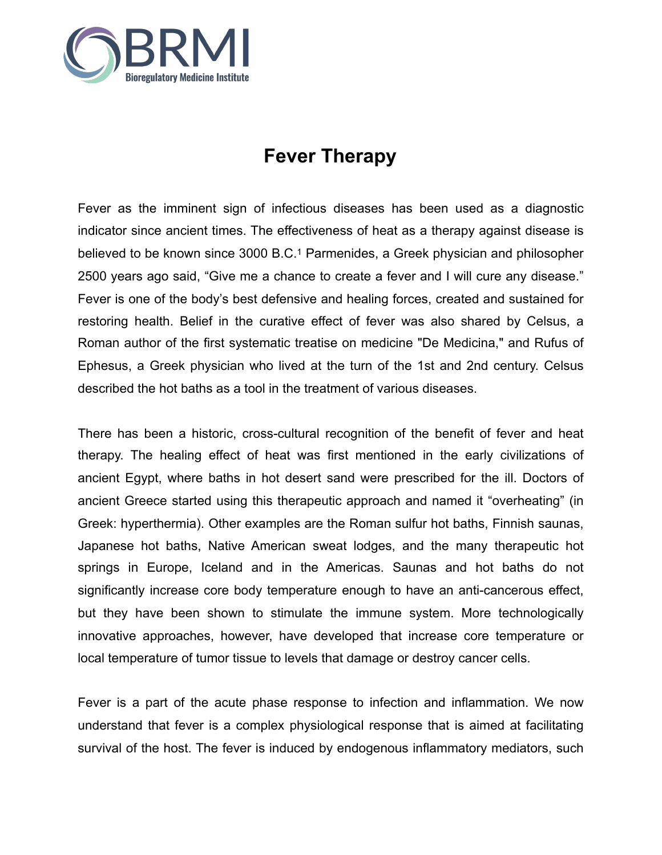

# **Fever Therapy**

Fever as the imminent sign of infectious diseases has been used as a diagnostic indicator since ancient times. The effectiveness of heat as a therapy against disease is believed to be known since 3000 B.C.1 Parmenides, a Greek physician and philosopher 2500 years ago said, "Give me a chance to create a fever and I will cure any disease." Fever is one of the body's best defensive and healing forces, created and sustained for restoring health. Belief in the curative effect of fever was also shared by Celsus, a Roman author of the first systematic treatise on medicine "De Medicina," and Rufus of Ephesus, a Greek physician who lived at the turn of the 1st and 2nd century. Celsus described the hot baths as a tool in the treatment of various diseases.

There has been a historic, cross-cultural recognition of the benefit of fever and heat therapy. The healing effect of heat was first mentioned in the early civilizations of ancient Egypt, where baths in hot desert sand were prescribed for the ill. Doctors of ancient Greece started using this therapeutic approach and named it "overheating" (in Greek: hyperthermia). Other examples are the Roman sulfur hot baths, Finnish saunas, Japanese hot baths, Native American sweat lodges, and the many therapeutic hot springs in Europe, Iceland and in the Americas. Saunas and hot baths do not significantly increase core body temperature enough to have an anti-cancerous effect, but they have been shown to stimulate the immune system. More technologically innovative approaches, however, have developed that increase core temperature or local temperature of tumor tissue to levels that damage or destroy cancer cells.

Fever is a part of the acute phase response to infection and inflammation. We now understand that fever is a complex physiological response that is aimed at facilitating survival of the host. The fever is induced by endogenous inflammatory mediators, such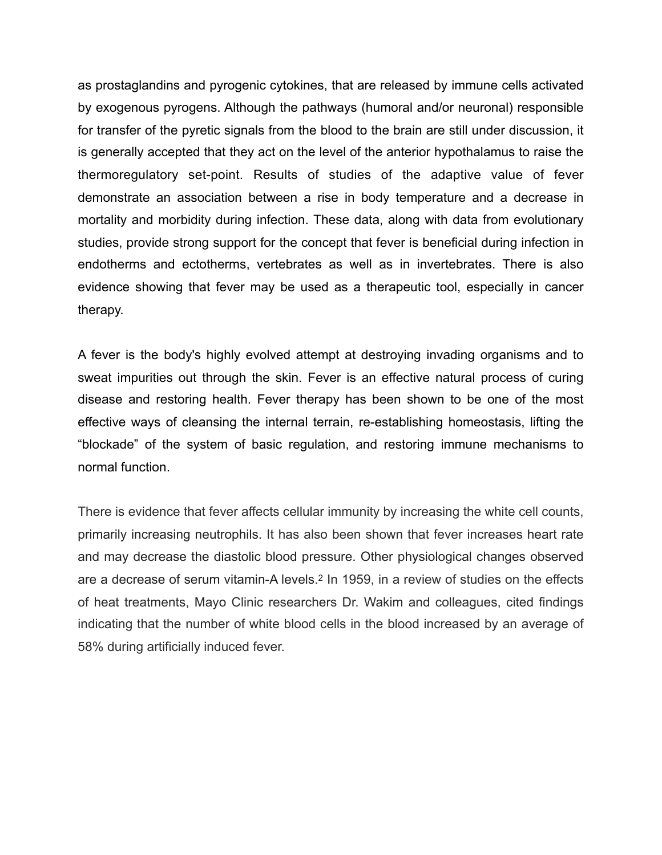as prostaglandins and pyrogenic cytokines, that are released by immune cells activated by exogenous pyrogens. Although the pathways (humoral and/or neuronal) responsible for transfer of the pyretic signals from the blood to the brain are still under discussion, it is generally accepted that they act on the level of the anterior hypothalamus to raise the thermoregulatory set-point. Results of studies of the adaptive value of fever demonstrate an association between a rise in body temperature and a decrease in mortality and morbidity during infection. These data, along with data from evolutionary studies, provide strong support for the concept that fever is beneficial during infection in endotherms and ectotherms, vertebrates as well as in invertebrates. There is also evidence showing that fever may be used as a therapeutic tool, especially in cancer therapy.

A fever is the body's highly evolved attempt at destroying invading organisms and to sweat impurities out through the skin. Fever is an effective natural process of curing disease and restoring health. Fever therapy has been shown to be one of the most effective ways of cleansing the internal terrain, re-establishing homeostasis, lifting the "blockade" of the system of basic regulation, and restoring immune mechanisms to normal function.

There is evidence that fever affects cellular immunity by increasing the white cell counts, primarily increasing neutrophils. It has also been shown that fever increases heart rate and may decrease the diastolic blood pressure. Other physiological changes observed are a decrease of serum vitamin-A levels.2 In 1959, in a review of studies on the effects of heat treatments, Mayo Clinic researchers Dr. Wakim and colleagues, cited findings indicating that the number of white blood cells in the blood increased by an average of 58% during artificially induced fever.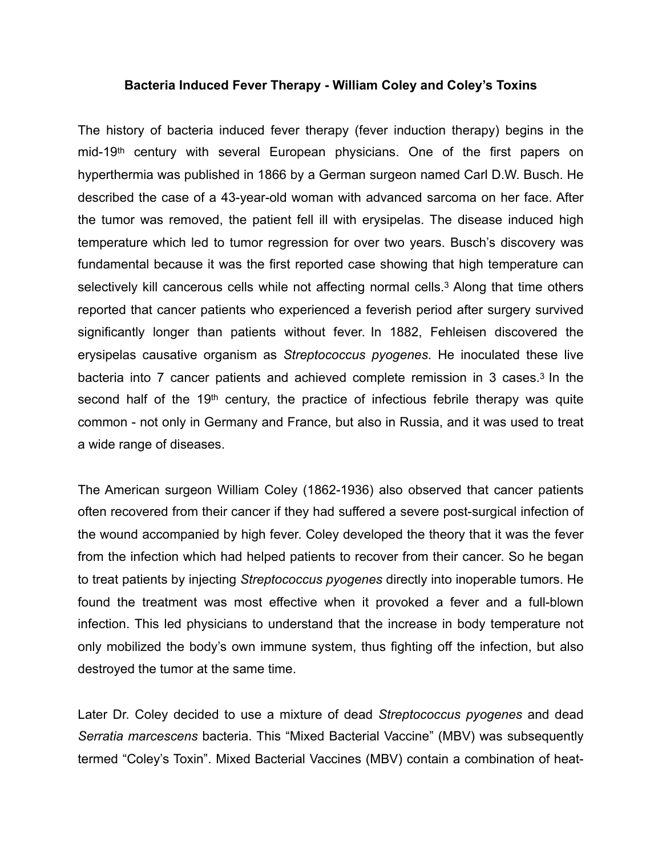#### **Bacteria Induced Fever Therapy - William Coley and Coley's Toxins**

The history of bacteria induced fever therapy (fever induction therapy) begins in the mid-19th century with several European physicians. One of the first papers on hyperthermia was published in 1866 by a German surgeon named Carl D.W. Busch. He described the case of a 43-year-old woman with advanced sarcoma on her face. After the tumor was removed, the patient fell ill with erysipelas. The disease induced high temperature which led to tumor regression for over two years. Busch's discovery was fundamental because it was the first reported case showing that high temperature can selectively kill cancerous cells while not affecting normal cells.<sup>3</sup> Along that time others reported that cancer patients who experienced a feverish period after surgery survived significantly longer than patients without fever. In 1882, Fehleisen discovered the erysipelas causative organism as *Streptococcus pyogenes*. He inoculated these live bacteria into 7 cancer patients and achieved complete remission in 3 cases.3 In the second half of the 19<sup>th</sup> century, the practice of infectious febrile therapy was quite common - not only in Germany and France, but also in Russia, and it was used to treat a wide range of diseases.

The American surgeon William Coley (1862-1936) also observed that cancer patients often recovered from their cancer if they had suffered a severe post-surgical infection of the wound accompanied by high fever. Coley developed the theory that it was the fever from the infection which had helped patients to recover from their cancer. So he began to treat patients by injecting *Streptococcus pyogenes* directly into inoperable tumors. He found the treatment was most effective when it provoked a fever and a full-blown infection. This led physicians to understand that the increase in body temperature not only mobilized the body's own immune system, thus fighting off the infection, but also destroyed the tumor at the same time.

Later Dr. Coley decided to use a mixture of dead *Streptococcus pyogenes* and dead *Serratia marcescens* bacteria. This "Mixed Bacterial Vaccine" (MBV) was subsequently termed "Coley's Toxin". Mixed Bacterial Vaccines (MBV) contain a combination of heat-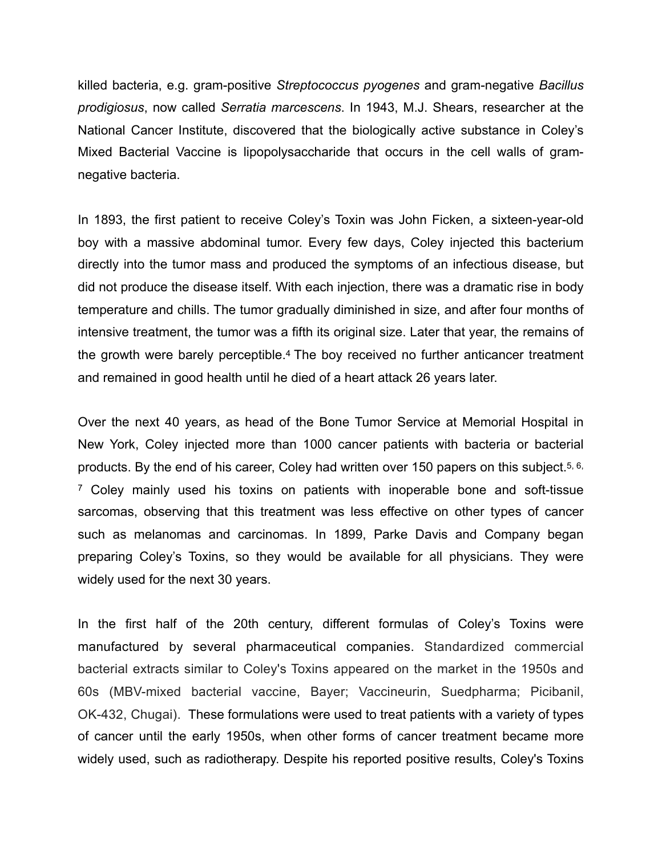killed bacteria, e.g. gram-positive *Streptococcus pyogenes* and gram-negative *Bacillus prodigiosus*, now called *Serratia marcescens*. In 1943, M.J. Shears, researcher at the National Cancer Institute, discovered that the biologically active substance in Coley's Mixed Bacterial Vaccine is lipopolysaccharide that occurs in the cell walls of gramnegative bacteria.

In 1893, the first patient to receive Coley's Toxin was John Ficken, a sixteen-year-old boy with a massive abdominal tumor. Every few days, Coley injected this bacterium directly into the tumor mass and produced the symptoms of an infectious disease, but did not produce the disease itself. With each injection, there was a dramatic rise in body temperature and chills. The tumor gradually diminished in size, and after four months of intensive treatment, the tumor was a fifth its original size. Later that year, the remains of the growth were barely perceptible.4 The boy received no further anticancer treatment and remained in good health until he died of a heart attack 26 years later.

Over the next 40 years, as head of the Bone Tumor Service at Memorial Hospital in New York, Coley injected more than 1000 cancer patients with bacteria or bacterial products. By the end of his career, Coley had written over 150 papers on this subject.5, 6, 7 Coley mainly used his toxins on patients with inoperable bone and soft-tissue sarcomas, observing that this treatment was less effective on other types of cancer such as melanomas and carcinomas. In 1899, Parke Davis and Company began preparing Coley's Toxins, so they would be available for all physicians. They were widely used for the next 30 years.

In the first half of the 20th century, different formulas of Coley's Toxins were manufactured by several pharmaceutical companies. Standardized commercial bacterial extracts similar to Coley's Toxins appeared on the market in the 1950s and 60s (MBV-mixed bacterial vaccine, Bayer; Vaccineurin, Suedpharma; Picibanil, OK-432, Chugai). These formulations were used to treat patients with a variety of types of cancer until the early 1950s, when other forms of cancer treatment became more widely used, such as radiotherapy. Despite his reported positive results, Coley's Toxins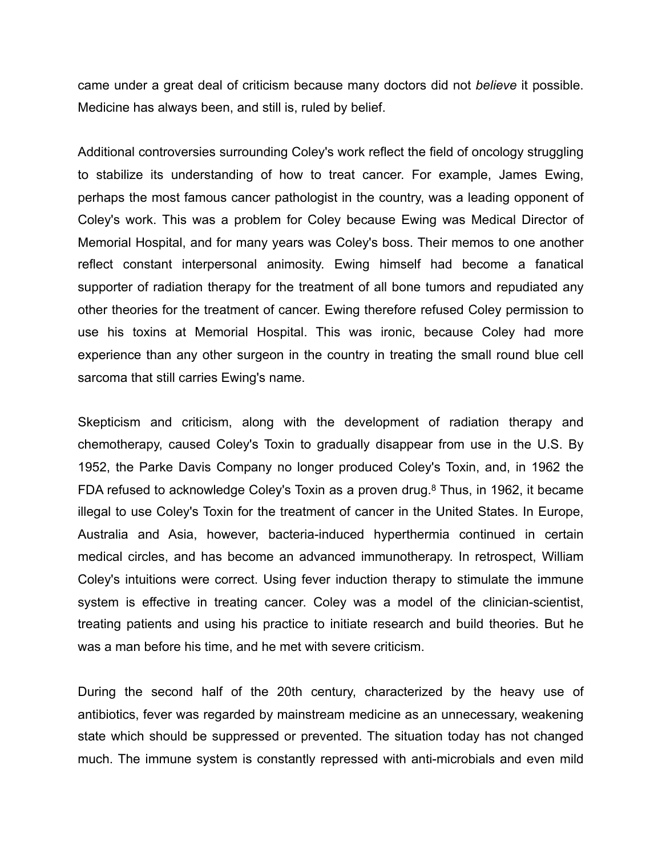came under a great deal of criticism because many doctors did not *believe* it possible. Medicine has always been, and still is, ruled by belief.

Additional controversies surrounding Coley's work reflect the field of oncology struggling to stabilize its understanding of how to treat cancer. For example, James Ewing, perhaps the most famous cancer pathologist in the country, was a leading opponent of Coley's work. This was a problem for Coley because Ewing was Medical Director of Memorial Hospital, and for many years was Coley's boss. Their memos to one another reflect constant interpersonal animosity. Ewing himself had become a fanatical supporter of radiation therapy for the treatment of all bone tumors and repudiated any other theories for the treatment of cancer. Ewing therefore refused Coley permission to use his toxins at Memorial Hospital. This was ironic, because Coley had more experience than any other surgeon in the country in treating the small round blue cell sarcoma that still carries Ewing's name.

Skepticism and criticism, along with the development of radiation therapy and chemotherapy, caused Coley's Toxin to gradually disappear from use in the U.S. By 1952, the Parke Davis Company no longer produced Coley's Toxin, and, in 1962 the FDA refused to acknowledge Coley's Toxin as a proven drug.8 Thus, in 1962, it became illegal to use Coley's Toxin for the treatment of cancer in the United States. In Europe, Australia and Asia, however, bacteria-induced hyperthermia continued in certain medical circles, and has become an advanced immunotherapy. In retrospect, William Coley's intuitions were correct. Using fever induction therapy to stimulate the immune system is effective in treating cancer. Coley was a model of the clinician-scientist, treating patients and using his practice to initiate research and build theories. But he was a man before his time, and he met with severe criticism.

During the second half of the 20th century, characterized by the heavy use of antibiotics, fever was regarded by mainstream medicine as an unnecessary, weakening state which should be suppressed or prevented. The situation today has not changed much. The immune system is constantly repressed with anti-microbials and even mild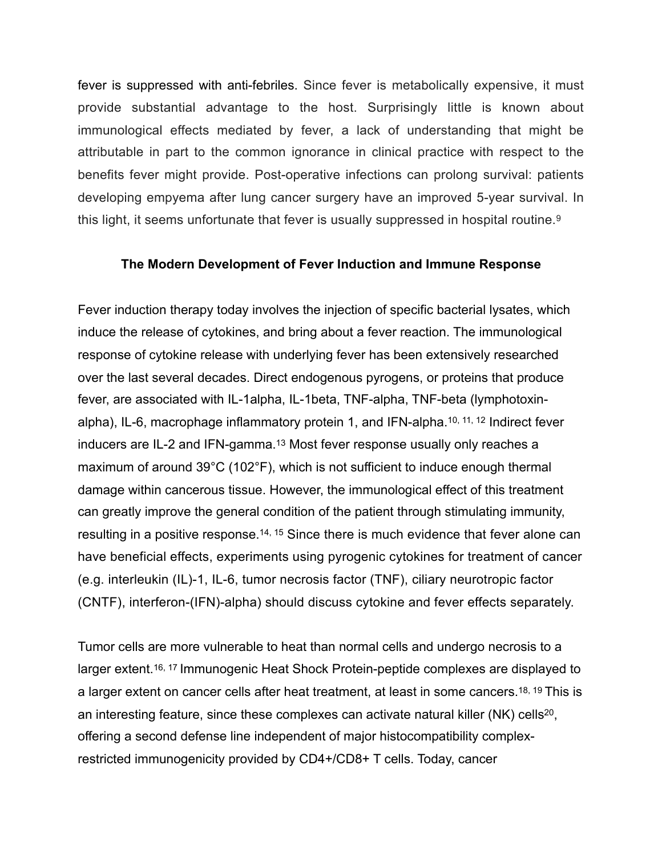fever is suppressed with anti-febriles. Since fever is metabolically expensive, it must provide substantial advantage to the host. Surprisingly little is known about immunological effects mediated by fever, a lack of understanding that might be attributable in part to the common ignorance in clinical practice with respect to the benefits fever might provide. Post-operative infections can prolong survival: patients developing empyema after lung cancer surgery have an improved 5-year survival. In this light, it seems unfortunate that fever is usually suppressed in hospital routine.<sup>9</sup>

### **The Modern Development of Fever Induction and Immune Response**

Fever induction therapy today involves the injection of specific bacterial lysates, which induce the release of cytokines, and bring about a fever reaction. The immunological response of cytokine release with underlying fever has been extensively researched over the last several decades. Direct endogenous pyrogens, or proteins that produce fever, are associated with IL-1alpha, IL-1beta, TNF-alpha, TNF-beta (lymphotoxinalpha), IL-6, macrophage inflammatory protein 1, and IFN-alpha.10, 11, 12 Indirect fever inducers are IL-2 and IFN-gamma.13 Most fever response usually only reaches a maximum of around 39°C (102°F), which is not sufficient to induce enough thermal damage within cancerous tissue. However, the immunological effect of this treatment can greatly improve the general condition of the patient through stimulating immunity, resulting in a positive response.<sup>14, 15</sup> Since there is much evidence that fever alone can have beneficial effects, experiments using pyrogenic cytokines for treatment of cancer (e.g. interleukin (IL)-1, IL-6, tumor necrosis factor (TNF), ciliary neurotropic factor (CNTF), interferon-(IFN)-alpha) should discuss cytokine and fever effects separately.

Tumor cells are more vulnerable to heat than normal cells and undergo necrosis to a larger extent.<sup>16, 17</sup> Immunogenic Heat Shock Protein-peptide complexes are displayed to a larger extent on cancer cells after heat treatment, at least in some cancers.18, 19 This is an interesting feature, since these complexes can activate natural killer (NK) cells<sup>20</sup>, offering a second defense line independent of major histocompatibility complexrestricted immunogenicity provided by CD4+/CD8+ T cells. Today, cancer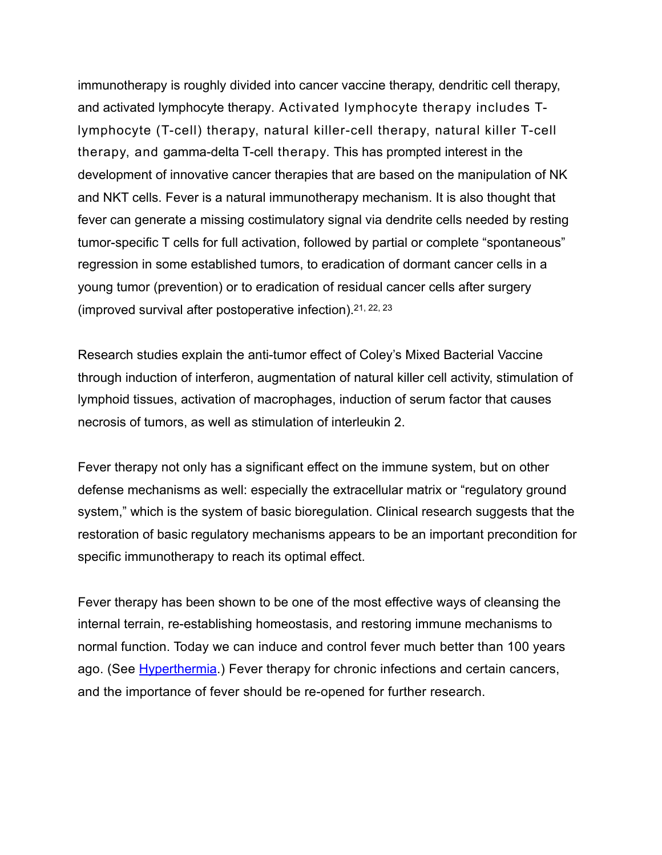immunotherapy is roughly divided into cancer vaccine therapy, dendritic cell therapy, and activated lymphocyte therapy. Activated lymphocyte therapy includes Tlymphocyte (T-cell) therapy, natural killer-cell therapy, natural killer T-cell therapy, and gamma-delta T-cell therapy. This has prompted interest in the development of innovative cancer therapies that are based on the manipulation of NK and NKT cells. Fever is a natural immunotherapy mechanism. It is also thought that fever can generate a missing costimulatory signal via dendrite cells needed by resting tumor-specific T cells for full activation, followed by partial or complete "spontaneous" regression in some established tumors, to eradication of dormant cancer cells in a young tumor (prevention) or to eradication of residual cancer cells after surgery (improved survival after postoperative infection).21, 22, 23

Research studies explain the anti-tumor effect of Coley's Mixed Bacterial Vaccine through induction of interferon, augmentation of natural killer cell activity, stimulation of lymphoid tissues, activation of macrophages, induction of serum factor that causes necrosis of tumors, as well as stimulation of interleukin 2.

Fever therapy not only has a significant effect on the immune system, but on other defense mechanisms as well: especially the extracellular matrix or "regulatory ground system," which is the system of basic bioregulation. Clinical research suggests that the restoration of basic regulatory mechanisms appears to be an important precondition for specific immunotherapy to reach its optimal effect.

Fever therapy has been shown to be one of the most effective ways of cleansing the internal terrain, re-establishing homeostasis, and restoring immune mechanisms to normal function. Today we can induce and control fever much better than 100 years ago. (See [Hyperthermia.](https://docs.wixstatic.com/ugd/003030_e75e3ed19aa54976994fe3c02f060810.pdf)) Fever therapy for chronic infections and certain cancers, and the importance of fever should be re-opened for further research.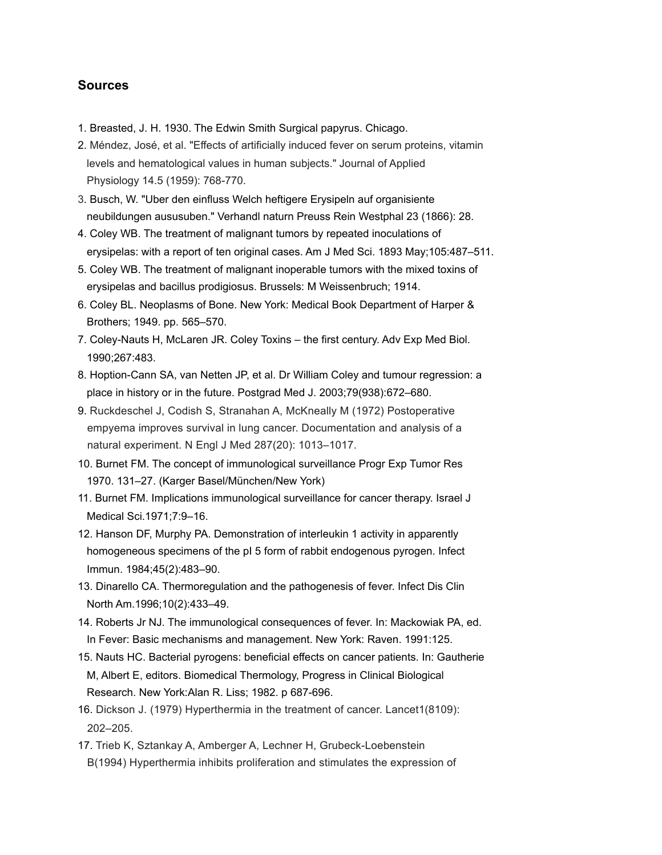#### **Sources**

- 1. Breasted, J. H. 1930. The Edwin Smith Surgical papyrus. Chicago.
- 2. Méndez, José, et al. "Effects of artificially induced fever on serum proteins, vitamin levels and hematological values in human subjects." Journal of Applied Physiology 14.5 (1959): 768-770.
- 3. Busch, W. "Uber den einfluss Welch heftigere Erysipeln auf organisiente neubildungen aususuben." Verhandl naturn Preuss Rein Westphal 23 (1866): 28.
- 4. Coley WB. The treatment of malignant tumors by repeated inoculations of erysipelas: with a report of ten original cases. Am J Med Sci. 1893 May;105:487–511.
- 5. Coley WB. The treatment of malignant inoperable tumors with the mixed toxins of erysipelas and bacillus prodigiosus. Brussels: M Weissenbruch; 1914.
- 6. Coley BL. Neoplasms of Bone. New York: Medical Book Department of Harper & Brothers; 1949. pp. 565–570.
- 7. Coley-Nauts H, McLaren JR. Coley Toxins the first century. Adv Exp Med Biol. 1990;267:483.
- 8. Hoption-Cann SA, van Netten JP, et al. Dr William Coley and tumour regression: a place in history or in the future. Postgrad Med J. 2003;79(938):672–680.
- 9. Ruckdeschel J, Codish S, Stranahan A, McKneally M (1972) Postoperative empyema improves survival in lung cancer. Documentation and analysis of a natural experiment. N Engl J Med 287(20): 1013–1017.
- 10. Burnet FM. The concept of immunological surveillance Progr Exp Tumor Res 1970. 131–27. (Karger Basel/München/New York)
- 11. Burnet FM. Implications immunological surveillance for cancer therapy. Israel J Medical Sci.1971;7:9–16.
- 12. Hanson DF, Murphy PA. Demonstration of interleukin 1 activity in apparently homogeneous specimens of the pI 5 form of rabbit endogenous pyrogen. Infect Immun. 1984;45(2):483–90.
- 13. Dinarello CA. Thermoregulation and the pathogenesis of fever. Infect Dis Clin North Am.1996;10(2):433–49.
- 14. Roberts Jr NJ. The immunological consequences of fever. In: Mackowiak PA, ed. In Fever: Basic mechanisms and management. New York: Raven. 1991:125.
- 15. Nauts HC. Bacterial pyrogens: beneficial effects on cancer patients. In: Gautherie M, Albert E, editors. Biomedical Thermology, Progress in Clinical Biological Research. New York:Alan R. Liss; 1982. p 687-696.
- 16. Dickson J. (1979) Hyperthermia in the treatment of cancer. Lancet1(8109): 202–205.
- 17. Trieb K, Sztankay A, Amberger A, Lechner H, Grubeck-Loebenstein B(1994) Hyperthermia inhibits proliferation and stimulates the expression of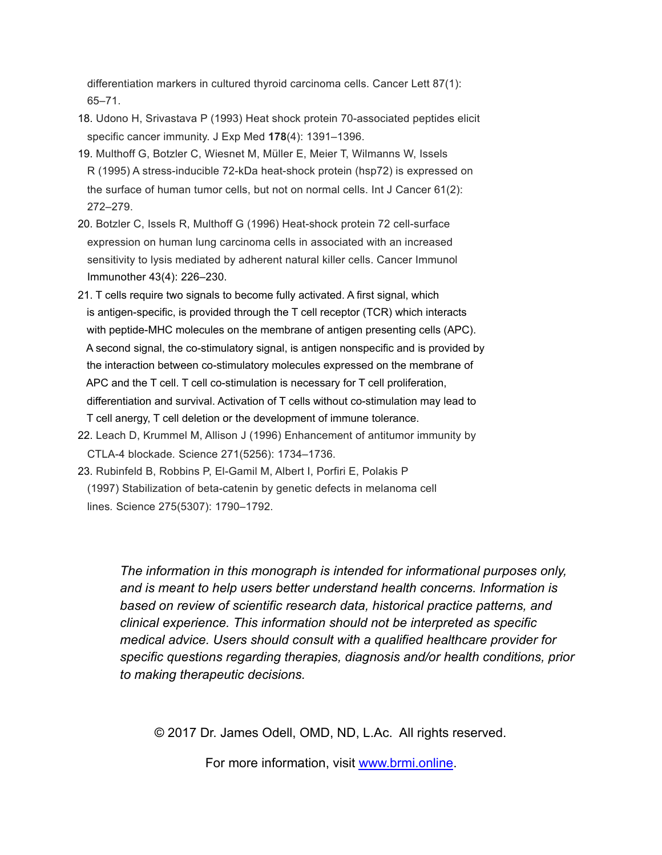differentiation markers in cultured thyroid carcinoma cells. Cancer Lett 87(1): 65–71.

- 18. Udono H, Srivastava P (1993) Heat shock protein 70-associated peptides elicit specific cancer immunity. J Exp Med **178**(4): 1391–1396.
- 19. Multhoff G, Botzler C, Wiesnet M, Müller E, Meier T, Wilmanns W, Issels R (1995) A stress-inducible 72-kDa heat-shock protein (hsp72) is expressed on the surface of human tumor cells, but not on normal cells. Int J Cancer 61(2): 272–279.
- 20. Botzler C, Issels R, Multhoff G (1996) Heat-shock protein 72 cell-surface expression on human lung carcinoma cells in associated with an increased sensitivity to lysis mediated by adherent natural killer cells. Cancer Immunol Immunother 43(4): 226–230.
- 21. T cells require two signals to become fully activated. A first signal, which is antigen-specific, is provided through the T cell receptor (TCR) which interacts with peptide-MHC molecules on the membrane of antigen presenting cells (APC). A second signal, the co-stimulatory signal, is antigen nonspecific and is provided by the interaction between co-stimulatory molecules expressed on the membrane of APC and the T cell. T cell co-stimulation is necessary for T cell proliferation, differentiation and survival. Activation of T cells without co-stimulation may lead to T cell anergy, T cell deletion or the development of immune tolerance.
- 22. Leach D, Krummel M, Allison J (1996) Enhancement of antitumor immunity by CTLA-4 blockade*.* Science 271(5256): 1734–1736.
- 23. Rubinfeld B, Robbins P, El-Gamil M, Albert I, Porfiri E, Polakis P (1997) Stabilization of beta-catenin by genetic defects in melanoma cell lines*.* Science 275(5307): 1790–1792.

*The information in this monograph is intended for informational purposes only, and is meant to help users better understand health concerns. Information is based on review of scientific research data, historical practice patterns, and clinical experience. This information should not be interpreted as specific medical advice. Users should consult with a qualified healthcare provider for specific questions regarding therapies, diagnosis and/or health conditions, prior to making therapeutic decisions.*

© 2017 Dr. James Odell, OMD, ND, L.Ac. All rights reserved.

For more information, visit [www.brmi.online](http://www.brmi.online).